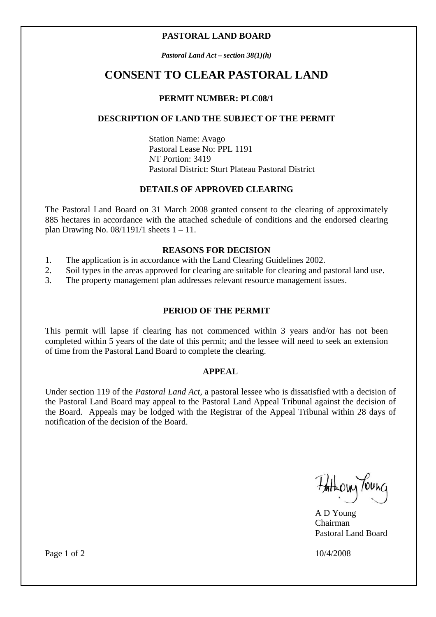### **PASTORAL LAND BOARD**

*Pastoral Land Act – section 38(1)(h)* 

## **CONSENT TO CLEAR PASTORAL LAND**

### **PERMIT NUMBER: PLC08/1**

### **DESCRIPTION OF LAND THE SUBJECT OF THE PERMIT**

 Station Name: Avago Pastoral Lease No: PPL 1191 NT Portion: 3419 Pastoral District: Sturt Plateau Pastoral District

### **DETAILS OF APPROVED CLEARING**

The Pastoral Land Board on 31 March 2008 granted consent to the clearing of approximately 885 hectares in accordance with the attached schedule of conditions and the endorsed clearing plan Drawing No.  $08/1191/1$  sheets  $1 - 11$ .

### **REASONS FOR DECISION**

- 1. The application is in accordance with the Land Clearing Guidelines 2002.
- 2. Soil types in the areas approved for clearing are suitable for clearing and pastoral land use.
- 3. The property management plan addresses relevant resource management issues.

### **PERIOD OF THE PERMIT**

This permit will lapse if clearing has not commenced within 3 years and/or has not been completed within 5 years of the date of this permit; and the lessee will need to seek an extension of time from the Pastoral Land Board to complete the clearing.

### **APPEAL**

Under section 119 of the *Pastoral Land Act*, a pastoral lessee who is dissatisfied with a decision of the Pastoral Land Board may appeal to the Pastoral Land Appeal Tribunal against the decision of the Board. Appeals may be lodged with the Registrar of the Appeal Tribunal within 28 days of notification of the decision of the Board.

Hatholy Tounc

 A D Young **Chairman** Pastoral Land Board

Page 1 of 2 10/4/2008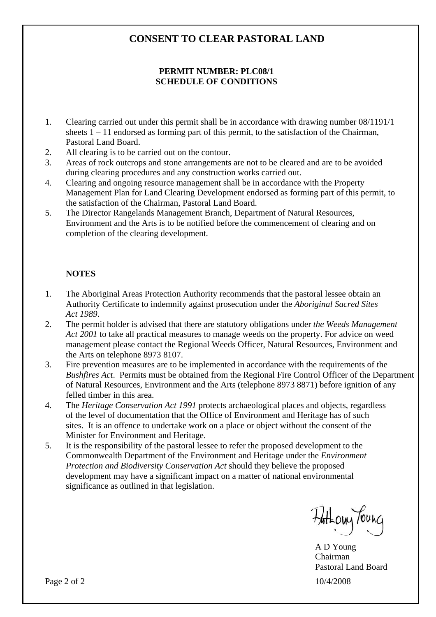## **CONSENT TO CLEAR PASTORAL LAND**

### **PERMIT NUMBER: PLC08/1 SCHEDULE OF CONDITIONS**

- 1. Clearing carried out under this permit shall be in accordance with drawing number 08/1191/1 sheets  $1 - 11$  endorsed as forming part of this permit, to the satisfaction of the Chairman, Pastoral Land Board.
- 2. All clearing is to be carried out on the contour.
- 3. Areas of rock outcrops and stone arrangements are not to be cleared and are to be avoided during clearing procedures and any construction works carried out.
- 4. Clearing and ongoing resource management shall be in accordance with the Property Management Plan for Land Clearing Development endorsed as forming part of this permit, to the satisfaction of the Chairman, Pastoral Land Board.
- 5. The Director Rangelands Management Branch, Department of Natural Resources, Environment and the Arts is to be notified before the commencement of clearing and on completion of the clearing development.

### **NOTES**

- 1. The Aboriginal Areas Protection Authority recommends that the pastoral lessee obtain an Authority Certificate to indemnify against prosecution under the *Aboriginal Sacred Sites Act 1989*.
- 2. The permit holder is advised that there are statutory obligations under *the Weeds Management Act 2001* to take all practical measures to manage weeds on the property. For advice on weed management please contact the Regional Weeds Officer, Natural Resources, Environment and the Arts on telephone 8973 8107.
- 3. Fire prevention measures are to be implemented in accordance with the requirements of the *Bushfires Act*. Permits must be obtained from the Regional Fire Control Officer of the Department of Natural Resources, Environment and the Arts (telephone 8973 8871) before ignition of any felled timber in this area.
- 4. The *Heritage Conservation Act 1991* protects archaeological places and objects, regardless of the level of documentation that the Office of Environment and Heritage has of such sites. It is an offence to undertake work on a place or object without the consent of the Minister for Environment and Heritage.
- 5. It is the responsibility of the pastoral lessee to refer the proposed development to the Commonwealth Department of the Environment and Heritage under the *Environment Protection and Biodiversity Conservation Act* should they believe the proposed development may have a significant impact on a matter of national environmental significance as outlined in that legislation.

Hatholy Toung

 A D Young **Chairman** Pastoral Land Board

Page 2 of 2 10/4/2008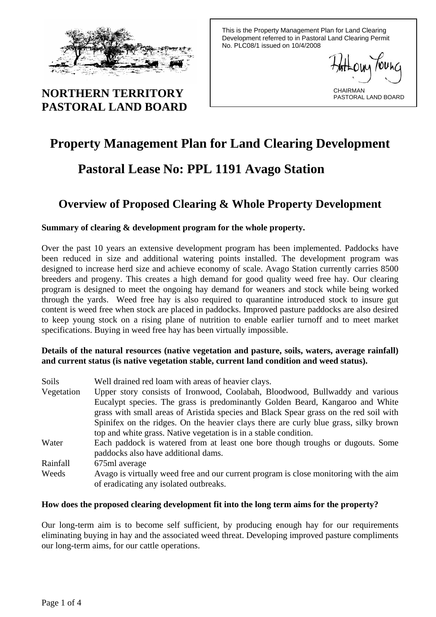

# **NORTHERN TERRITORY PASTORAL LAND BOARD**

This is the Property Management Plan for Land Clearing Development referred to in Pastoral Land Clearing Permit No. PLC08/1 issued on 10/4/2008

CHAIRMAN PASTORAL LAND BOARD

# **Property Management Plan for Land Clearing Development**

# **Pastoral Lease No: PPL 1191 Avago Station**

# **Overview of Proposed Clearing & Whole Property Development**

## **Summary of clearing & development program for the whole property.**

Over the past 10 years an extensive development program has been implemented. Paddocks have been reduced in size and additional watering points installed. The development program was designed to increase herd size and achieve economy of scale. Avago Station currently carries 8500 breeders and progeny. This creates a high demand for good quality weed free hay. Our clearing program is designed to meet the ongoing hay demand for weaners and stock while being worked through the yards. Weed free hay is also required to quarantine introduced stock to insure gut content is weed free when stock are placed in paddocks. Improved pasture paddocks are also desired to keep young stock on a rising plane of nutrition to enable earlier turnoff and to meet market specifications. Buying in weed free hay has been virtually impossible.

### **Details of the natural resources (native vegetation and pasture, soils, waters, average rainfall) and current status (is native vegetation stable, current land condition and weed status).**

| Soils      | Well drained red loam with areas of heavier clays.                                    |
|------------|---------------------------------------------------------------------------------------|
| Vegetation | Upper story consists of Ironwood, Coolabah, Bloodwood, Bullwaddy and various          |
|            | Eucalypt species. The grass is predominantly Golden Beard, Kangaroo and White         |
|            | grass with small areas of Aristida species and Black Spear grass on the red soil with |
|            | Spinifex on the ridges. On the heavier clays there are curly blue grass, silky brown  |
|            | top and white grass. Native vegetation is in a stable condition.                      |
| Water      | Each paddock is watered from at least one bore though troughs or dugouts. Some        |
|            | paddocks also have additional dams.                                                   |
| Rainfall   | 675ml average                                                                         |
| Weeds      | Avago is virtually weed free and our current program is close monitoring with the aim |
|            | of eradicating any isolated outbreaks.                                                |

### **How does the proposed clearing development fit into the long term aims for the property?**

Our long-term aim is to become self sufficient, by producing enough hay for our requirements eliminating buying in hay and the associated weed threat. Developing improved pasture compliments our long-term aims, for our cattle operations.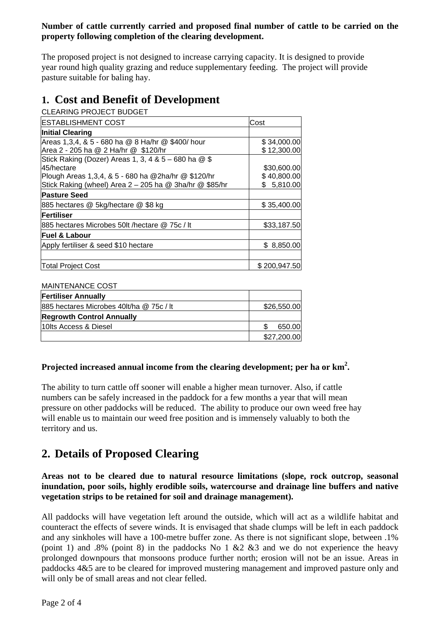## **Number of cattle currently carried and proposed final number of cattle to be carried on the property following completion of the clearing development.**

The proposed project is not designed to increase carrying capacity. It is designed to provide year round high quality grazing and reduce supplementary feeding. The project will provide pasture suitable for baling hay.

# **1. Cost and Benefit of Development**

CLEARING PROJECT BUDGET

| <b>ESTABLISHMENT COST</b>                                | Cost         |
|----------------------------------------------------------|--------------|
| <b>Initial Clearing</b>                                  |              |
| Areas 1,3,4, & 5 - 680 ha @ 8 Ha/hr @ \$400/ hour        | \$34,000.00  |
| Area 2 - 205 ha @ 2 Ha/hr @ \$120/hr                     | \$12,300.00  |
| Stick Raking (Dozer) Areas 1, 3, 4 & $5 - 680$ ha $@$ \$ |              |
| 45/hectare                                               | \$30,600.00  |
| Plough Areas 1,3,4, & 5 - 680 ha @2ha/hr @ \$120/hr      | \$40,800.00  |
| Stick Raking (wheel) Area 2 – 205 ha @ 3ha/hr @ \$85/hr  | \$5,810.00   |
| <b>Pasture Seed</b>                                      |              |
| 885 hectares @ 5kg/hectare @ \$8 kg                      | \$35,400.00  |
| Fertiliser                                               |              |
| 885 hectares Microbes 50lt / hectare @ 75c / It          | \$33,187.50  |
| lFuel & Labour                                           |              |
| Apply fertiliser & seed \$10 hectare                     | \$ 8,850.00  |
|                                                          |              |
| <b>Total Project Cost</b>                                | \$200.947.50 |

### MAINTENANCE COST

| <b>Fertiliser Annually</b>               |             |
|------------------------------------------|-------------|
| 885 hectares Microbes 40lt/ha @ 75c / It | \$26,550.00 |
| <b>Regrowth Control Annually</b>         |             |
| 110 Its Access & Diesel                  | 650.00      |
|                                          | \$27,200.00 |

## Projected increased annual income from the clearing development; per ha or km<sup>2</sup>.

The ability to turn cattle off sooner will enable a higher mean turnover. Also, if cattle numbers can be safely increased in the paddock for a few months a year that will mean pressure on other paddocks will be reduced. The ability to produce our own weed free hay will enable us to maintain our weed free position and is immensely valuably to both the territory and us.

# **2. Details of Proposed Clearing**

**Areas not to be cleared due to natural resource limitations (slope, rock outcrop, seasonal inundation, poor soils, highly erodible soils, watercourse and drainage line buffers and native vegetation strips to be retained for soil and drainage management).** 

All paddocks will have vegetation left around the outside, which will act as a wildlife habitat and counteract the effects of severe winds. It is envisaged that shade clumps will be left in each paddock and any sinkholes will have a 100-metre buffer zone. As there is not significant slope, between .1% (point 1) and .8% (point 8) in the paddocks No 1  $\&$  2  $\&$  3 and we do not experience the heavy prolonged downpours that monsoons produce further north; erosion will not be an issue. Areas in paddocks 4&5 are to be cleared for improved mustering management and improved pasture only and will only be of small areas and not clear felled.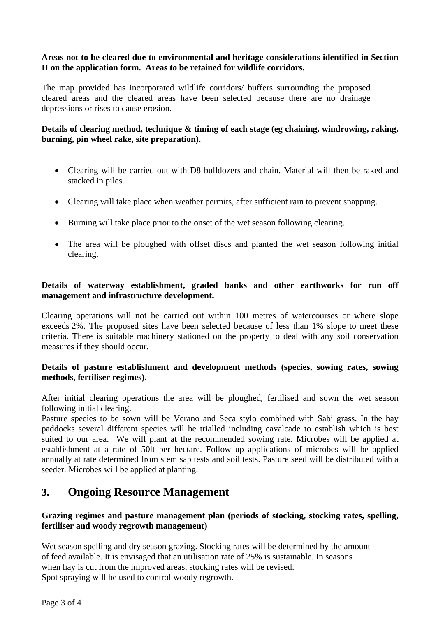## **Areas not to be cleared due to environmental and heritage considerations identified in Section II on the application form. Areas to be retained for wildlife corridors.**

The map provided has incorporated wildlife corridors/ buffers surrounding the proposed cleared areas and the cleared areas have been selected because there are no drainage depressions or rises to cause erosion.

## **Details of clearing method, technique & timing of each stage (eg chaining, windrowing, raking, burning, pin wheel rake, site preparation).**

- Clearing will be carried out with D8 bulldozers and chain. Material will then be raked and stacked in piles.
- Clearing will take place when weather permits, after sufficient rain to prevent snapping.
- Burning will take place prior to the onset of the wet season following clearing.
- The area will be ploughed with offset discs and planted the wet season following initial clearing.

## **Details of waterway establishment, graded banks and other earthworks for run off management and infrastructure development.**

Clearing operations will not be carried out within 100 metres of watercourses or where slope exceeds 2%. The proposed sites have been selected because of less than 1% slope to meet these criteria. There is suitable machinery stationed on the property to deal with any soil conservation measures if they should occur.

### **Details of pasture establishment and development methods (species, sowing rates, sowing methods, fertiliser regimes).**

After initial clearing operations the area will be ploughed, fertilised and sown the wet season following initial clearing.

Pasture species to be sown will be Verano and Seca stylo combined with Sabi grass. In the hay paddocks several different species will be trialled including cavalcade to establish which is best suited to our area. We will plant at the recommended sowing rate. Microbes will be applied at establishment at a rate of 50lt per hectare. Follow up applications of microbes will be applied annually at rate determined from stem sap tests and soil tests. Pasture seed will be distributed with a seeder. Microbes will be applied at planting.

# **3. Ongoing Resource Management**

### **Grazing regimes and pasture management plan (periods of stocking, stocking rates, spelling, fertiliser and woody regrowth management)**

Wet season spelling and dry season grazing. Stocking rates will be determined by the amount of feed available. It is envisaged that an utilisation rate of 25% is sustainable. In seasons when hay is cut from the improved areas, stocking rates will be revised. Spot spraying will be used to control woody regrowth.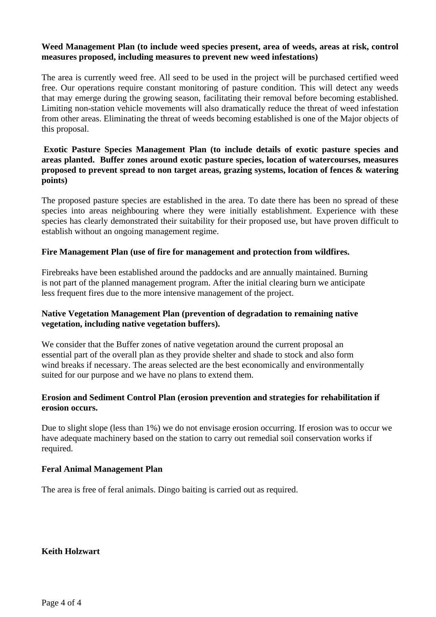### **Weed Management Plan (to include weed species present, area of weeds, areas at risk, control measures proposed, including measures to prevent new weed infestations)**

The area is currently weed free. All seed to be used in the project will be purchased certified weed free. Our operations require constant monitoring of pasture condition. This will detect any weeds that may emerge during the growing season, facilitating their removal before becoming established. Limiting non-station vehicle movements will also dramatically reduce the threat of weed infestation from other areas. Eliminating the threat of weeds becoming established is one of the Major objects of this proposal.

### **Exotic Pasture Species Management Plan (to include details of exotic pasture species and areas planted. Buffer zones around exotic pasture species, location of watercourses, measures proposed to prevent spread to non target areas, grazing systems, location of fences & watering points)**

The proposed pasture species are established in the area. To date there has been no spread of these species into areas neighbouring where they were initially establishment. Experience with these species has clearly demonstrated their suitability for their proposed use, but have proven difficult to establish without an ongoing management regime.

### **Fire Management Plan (use of fire for management and protection from wildfires.**

Firebreaks have been established around the paddocks and are annually maintained. Burning is not part of the planned management program. After the initial clearing burn we anticipate less frequent fires due to the more intensive management of the project.

### **Native Vegetation Management Plan (prevention of degradation to remaining native vegetation, including native vegetation buffers).**

We consider that the Buffer zones of native vegetation around the current proposal an essential part of the overall plan as they provide shelter and shade to stock and also form wind breaks if necessary. The areas selected are the best economically and environmentally suited for our purpose and we have no plans to extend them.

### **Erosion and Sediment Control Plan (erosion prevention and strategies for rehabilitation if erosion occurs.**

Due to slight slope (less than 1%) we do not envisage erosion occurring. If erosion was to occur we have adequate machinery based on the station to carry out remedial soil conservation works if required.

### **Feral Animal Management Plan**

The area is free of feral animals. Dingo baiting is carried out as required.

**Keith Holzwart**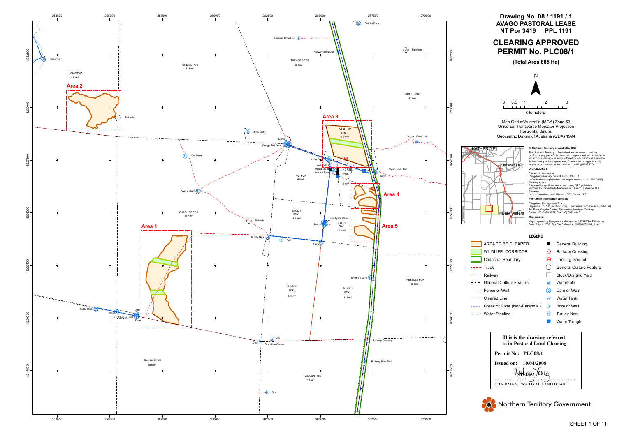

**LEGEND**

- **E** General Building
- $@$  Railway Crossing
- $\Theta$  Landing Ground
- À General Culture Feature
- □ Stock/Drafting Yard
- **WH** Waterhole
- Ë Dam or Weir
- $\circledcirc$ Water Tank
- **(B)** Bore or Well
- (<sup>N</sup> Turkey Nest
- **Mater Trough**

AREA TO BE CLEARED WILDLIFE CORRIDOR Cadastral Boundary

General Culture Feature

Creek or River (Non-Perennial)

 $---$  Track **- Railway** 

 $\frac{1}{2} \frac{1}{2} \frac{1}{2} \frac{1}{2} \frac{1}{2} \frac{1}{2} \frac{1}{2} \frac{1}{2} \frac{1}{2} \frac{1}{2} \frac{1}{2} \frac{1}{2} \frac{1}{2} \frac{1}{2} \frac{1}{2} \frac{1}{2} \frac{1}{2} \frac{1}{2} \frac{1}{2} \frac{1}{2} \frac{1}{2} \frac{1}{2} \frac{1}{2} \frac{1}{2} \frac{1}{2} \frac{1}{2} \frac{1}{2} \frac{1}{2} \frac{1}{2} \frac{1}{2} \frac{1}{2} \frac{$ 

 $\omega = \omega = \omega$ 

 $---$  Fence or Wall  $---$  Cleared Line

---- Water Pipeline

**Drawing No. 08 / 1191 / 1**

# **AVAGO PASTORAL LEASE NT Por 3419 PPL 1191 CLEARING APPROVED PERMIT No. PLC08/1**

**(Total Area 885 Ha)**



Map Grid of Australia (MGA) Zone 53 Universal Transverse Mercator Projection Horizontal datum: Geocentric Datum of Australia (GDA) 1994



#### **© Northern Territory of Australia, 2008**

The Northern Territory of Australia does not warrant that the product or any part of it is correct or complete and will not be liable for any loss, damage or injury suffered by any person as a result of its inaccuracy or incompleteness. You are encouraged to notify any error or omission in the material by calling 8999 4754.

Property Infrastructure:

Rangelands Management Branch, DNRETA (Infrastructure displayed on this map is current as at 15/11/2007)

Clearing Areas: Proposed by applicant and drawn using GPS point data supplied by Rangelands Management Branch, Katherine, N.T.

Cadastre: Land Information, Land Division, DPI, Darwin, N.T. **For further information contact:**

#### **DATA SOURCE**

Rangeland Management Branch Department of Natural Resources, Environment and the Arts (DNRETA) 3rd Floor, Goyder Centre, Palmerston, Northern Territory Phone: (08) 8999 4754, Fax: (08) 8999 4403

#### **Map details:**

Map prepared by Rangelands Management, DNRETA, Palmerston Date: 8 April, 2008 Plot File Reference: CLR08SP1191\_1.pdf

**This is the drawing referred to in Pastoral Land Clearing**

CHAIRMAN, PASTORAL LAND BOARD Fullcom Toung **Issued on: 10/04/2008**



**Permit No: PLC08/1**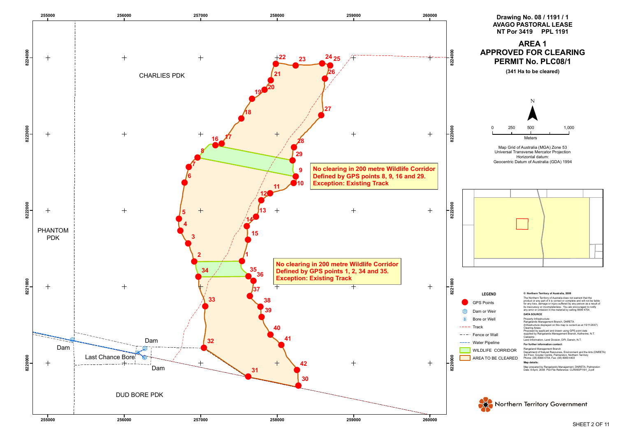



Map Grid of Australia (MGA) Zone 53 Universal Transverse Mercator Projection Horizontal datum: Geocentric Datum of Australia (GDA) 1994



#### **LEGEND**

#### GPS Points

#### Dam or Weir

- (B) Bore or Well
- $---$  Track
- $---$  Fence or Wall
- ---- Water Pipeline
- WILDLIFE CORRIDOR
- AREA TO BE CLEARED

#### **© Northern Territory of Australia, 2008**

The Northern Territory of Australia does not warrant that the product or any part of it is correct or complete and will not be liable for any loss, damage or injury suffered by any person as a result of its inaccuracy or incompleteness. You are encouraged to notify any error or omission in the material by calling 8999 4754.

Property Infrastructure: Rangelands Management Branch, DNRETA (Infrastructure displayed on this map is current as at 15/11/2007) Clearing Areas: Proposed by applicant and drawn using GPS point data supplied by Rangelands Management Branch, Katherine, N.T. Cadastre:

Land Information, Land Division, DPI, Darwin, N.T.

#### **DATA SOURCE**

#### **For further information contact:**

Rangeland Management Branch Department of Natural Resources, Environment and the Arts (DNRETA) 3rd Floor, Goyder Centre, Palmerston, Northern Territory Phone: (08) 8999 4754, Fax: (08) 8999 4403

#### **Map details:**

Map prepared by Rangelands Management, DNRETA, Palmerston Date: 8 April, 2008 Plot File Reference: CLR08SP1191\_2.pdf

# Northern Territory Government

# **Drawing No. 08 / 1191 / 1 AVAGO PASTORAL LEASE NT Por 3419 PPL 1191 AREA 1 APPROVED FOR CLEARING PERMIT No. PLC08/1 (341 Ha to be cleared)**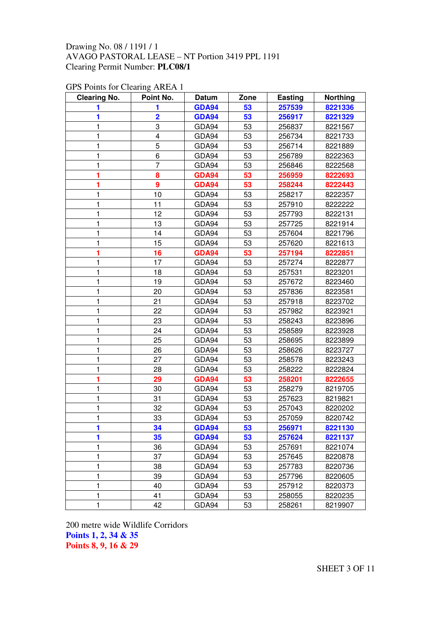| <b>Clearing No.</b> | Point No.               | Datum        | Zone | Easting | <b>Northing</b> |
|---------------------|-------------------------|--------------|------|---------|-----------------|
| 1                   | 1                       | <b>GDA94</b> | 53   | 257539  | 8221336         |
| 1                   | $\overline{\mathbf{2}}$ | <b>GDA94</b> | 53   | 256917  | 8221329         |
| 1                   | 3                       | GDA94        | 53   | 256837  | 8221567         |
| 1                   | $\overline{4}$          | GDA94        | 53   | 256734  | 8221733         |
| 1                   | 5                       | GDA94        | 53   | 256714  | 8221889         |
| 1                   | 6                       | GDA94        | 53   | 256789  | 8222363         |
| 1                   | 7                       | GDA94        | 53   | 256846  | 8222568         |
| 1                   | 8                       | GDA94        | 53   | 256959  | 8222693         |
| 1                   | $\boldsymbol{9}$        | <b>GDA94</b> | 53   | 258244  | 8222443         |
| 1                   | 10                      | GDA94        | 53   | 258217  | 8222357         |
| 1                   | 11                      | GDA94        | 53   | 257910  | 8222222         |
| 1                   | 12                      | GDA94        | 53   | 257793  | 8222131         |
| 1                   | 13                      | GDA94        | 53   | 257725  | 8221914         |
| 1                   | 14                      | GDA94        | 53   | 257604  | 8221796         |
| 1                   | 15                      | GDA94        | 53   | 257620  | 8221613         |
| 1                   | 16                      | GDA94        | 53   | 257194  | 8222851         |
| 1                   | 17                      | GDA94        | 53   | 257274  | 8222877         |
| 1                   | 18                      | GDA94        | 53   | 257531  | 8223201         |
| 1                   | 19                      | GDA94        | 53   | 257672  | 8223460         |
| 1                   | 20                      | GDA94        | 53   | 257836  | 8223581         |
| 1                   | 21                      | GDA94        | 53   | 257918  | 8223702         |
| 1                   | 22                      | GDA94        | 53   | 257982  | 8223921         |
| 1                   | 23                      | GDA94        | 53   | 258243  | 8223896         |
| 1                   | 24                      | GDA94        | 53   | 258589  | 8223928         |
| 1                   | 25                      | GDA94        | 53   | 258695  | 8223899         |
| 1                   | 26                      | GDA94        | 53   | 258626  | 8223727         |
| 1                   | 27                      | GDA94        | 53   | 258578  | 8223243         |
| 1                   | 28                      | GDA94        | 53   | 258222  | 8222824         |
| 1                   | 29                      | <b>GDA94</b> | 53   | 258201  | 8222655         |
| 1                   | 30                      | GDA94        | 53   | 258279  | 8219705         |
| 1                   | 31                      | GDA94        | 53   | 257623  | 8219821         |
| 1                   | 32                      | GDA94        | 53   | 257043  | 8220202         |
| 1                   | 33                      | GDA94        | 53   | 257059  | 8220742         |
| 1                   | 34                      | GDA94        | 53   | 256971  | 8221130         |
| 1                   | 35                      | GDA94        | 53   | 257624  | 8221137         |
| 1                   | 36                      | GDA94        | 53   | 257691  | 8221074         |
| 1                   | 37                      | GDA94        | 53   | 257645  | 8220878         |
| 1                   | 38                      | GDA94        | 53   | 257783  | 8220736         |
| 1                   | 39                      | GDA94        | 53   | 257796  | 8220605         |
| 1                   | 40                      | GDA94        | 53   | 257912  | 8220373         |
| 1                   | 41                      | GDA94        | 53   | 258055  | 8220235         |
| 1                   | 42                      | GDA94        | 53   | 258261  | 8219907         |

## GPS Points for Clearing AREA 1

200 metre wide Wildlife Corridors **Points 1, 2, 34 & 35 Points 8, 9, 16 & 29**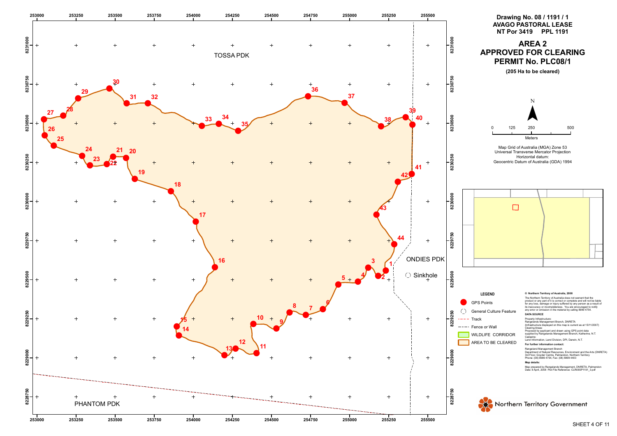

- 
- 
- 

- 
-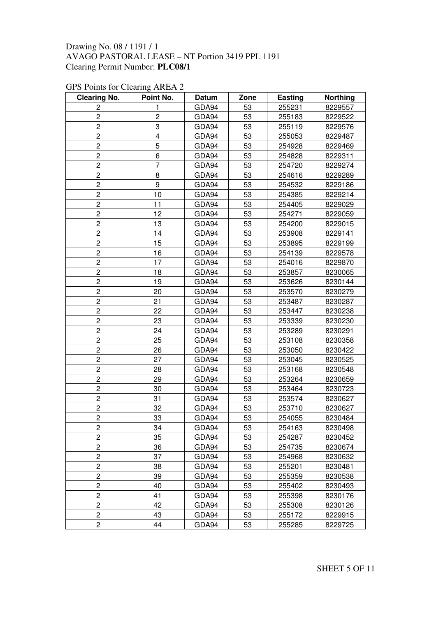| <b>Clearing No.</b> | Point No.               | Datum | Zone | <b>Easting</b> | <b>Northing</b> |
|---------------------|-------------------------|-------|------|----------------|-----------------|
| 2                   | 1                       | GDA94 | 53   | 255231         | 8229557         |
| $\overline{c}$      | $\overline{c}$          | GDA94 | 53   | 255183         | 8229522         |
| $\overline{c}$      | 3                       | GDA94 | 53   | 255119         | 8229576         |
| $\overline{c}$      | $\overline{\mathbf{4}}$ | GDA94 | 53   | 255053         | 8229487         |
| $\overline{c}$      | 5                       | GDA94 | 53   | 254928         | 8229469         |
| $\overline{c}$      | 6                       | GDA94 | 53   | 254828         | 8229311         |
| $\overline{2}$      | $\overline{7}$          | GDA94 | 53   | 254720         | 8229274         |
| 2                   | 8                       | GDA94 | 53   | 254616         | 8229289         |
| $\overline{c}$      | 9                       | GDA94 | 53   | 254532         | 8229186         |
| $\overline{2}$      | 10                      | GDA94 | 53   | 254385         | 8229214         |
| $\overline{c}$      | 11                      | GDA94 | 53   | 254405         | 8229029         |
| $\overline{c}$      | 12                      | GDA94 | 53   | 254271         | 8229059         |
| 2                   | 13                      | GDA94 | 53   | 254200         | 8229015         |
| 2                   | 14                      | GDA94 | 53   | 253908         | 8229141         |
| $\overline{c}$      | 15                      | GDA94 | 53   | 253895         | 8229199         |
| $\overline{c}$      | 16                      | GDA94 | 53   | 254139         | 8229578         |
| $\overline{c}$      | 17                      | GDA94 | 53   | 254016         | 8229870         |
| 2                   | 18                      | GDA94 | 53   | 253857         | 8230065         |
| $\overline{c}$      | 19                      | GDA94 | 53   | 253626         | 8230144         |
| 2                   | 20                      | GDA94 | 53   | 253570         | 8230279         |
| $\overline{c}$      | 21                      | GDA94 | 53   | 253487         | 8230287         |
| $\overline{c}$      | 22                      | GDA94 | 53   | 253447         | 8230238         |
| 2                   | 23                      | GDA94 | 53   | 253339         | 8230230         |
| $\overline{c}$      | 24                      | GDA94 | 53   | 253289         | 8230291         |
| $\overline{c}$      | 25                      | GDA94 | 53   | 253108         | 8230358         |
| $\overline{c}$      | 26                      | GDA94 | 53   | 253050         | 8230422         |
| 2                   | 27                      | GDA94 | 53   | 253045         | 8230525         |
| $\overline{c}$      | 28                      | GDA94 | 53   | 253168         | 8230548         |
| $\overline{c}$      | 29                      | GDA94 | 53   | 253264         | 8230659         |
| $\overline{c}$      | 30                      | GDA94 | 53   | 253464         | 8230723         |
| $\overline{2}$      | 31                      | GDA94 | 53   | 253574         | 8230627         |
| 2                   | 32                      | GDA94 | 53   | 253710         | 8230627         |
| $\overline{c}$      | 33                      | GDA94 | 53   | 254055         | 8230484         |
| 2                   | 34                      | GDA94 | 53   | 254163         | 8230498         |
| $\overline{c}$      | 35                      | GDA94 | 53   | 254287         | 8230452         |
| 2                   | 36                      | GDA94 | 53   | 254735         | 8230674         |
| 2                   | 37                      | GDA94 | 53   | 254968         | 8230632         |
| 2                   | 38                      | GDA94 | 53   | 255201         | 8230481         |
| 2                   | 39                      | GDA94 | 53   | 255359         | 8230538         |
| $\overline{c}$      | 40                      | GDA94 | 53   | 255402         | 8230493         |
| 2                   | 41                      | GDA94 | 53   | 255398         | 8230176         |
| 2                   | 42                      | GDA94 | 53   | 255308         | 8230126         |
| $\overline{c}$      | 43                      | GDA94 | 53   | 255172         | 8229915         |
| 2                   | 44                      | GDA94 | 53   | 255285         | 8229725         |

## GPS Points for Clearing AREA 2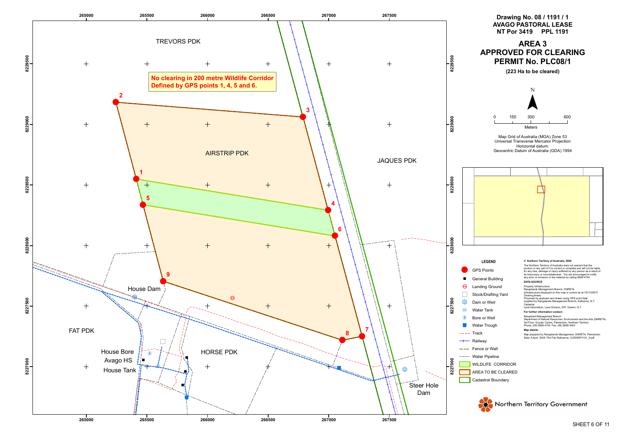



- 
- 
- 
- 
- 
- 
- 
- 
- 
- 
- 
- 
- 
- 
- 
-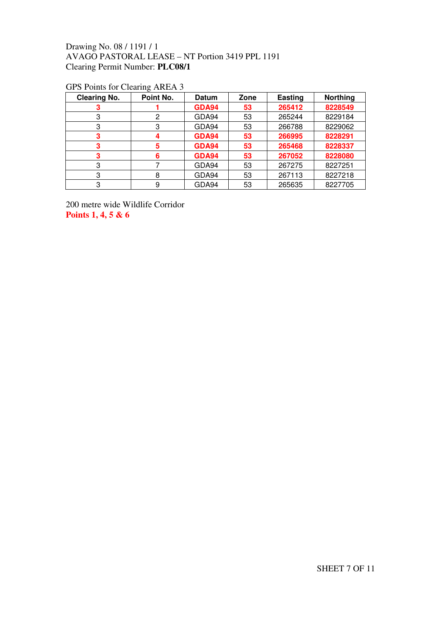| <b>Clearing No.</b> | Point No. | <b>Datum</b> | Zone | <b>Easting</b> | <b>Northing</b> |
|---------------------|-----------|--------------|------|----------------|-----------------|
|                     |           | GDA94        | 53   | 265412         | 8228549         |
| 3                   | 2         | GDA94        | 53   | 265244         | 8229184         |
| 3                   | 3         | GDA94        | 53   | 266788         | 8229062         |
| 3                   |           | <b>GDA94</b> | 53   | 266995         | 8228291         |
| 3                   | 5         | GDA94        | 53   | 265468         | 8228337         |
| 3                   | 6         | GDA94        | 53   | 267052         | 8228080         |
| 3                   |           | GDA94        | 53   | 267275         | 8227251         |
| 3                   | 8         | GDA94        | 53   | 267113         | 8227218         |
| 3                   | 9         | GDA94        | 53   | 265635         | 8227705         |

## GPS Points for Clearing AREA 3

200 metre wide Wildlife Corridor **Points 1, 4, 5 & 6**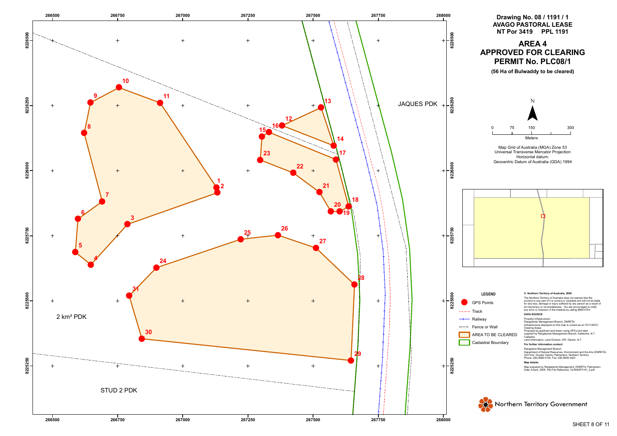

## Drawing No. 08 / 1191 / 1 AVAGO PASTORAL LEASE **NT Por 3419 PPL 1191 A R E A 4 APPROVED FOR CLEARING PERMIT No. PLC08/1**

(56 Ha of Bulwaddy to be cleared)



Map Grid of Australia (MGA) Zone 53 Universal Transverse Mercator Projection Horizontal datum: Geocentric Datum of Australia (GDA) 1994



#### **L E G E N D**

#### GPS Points

- **Track**
- Railway
- 
- Fence or Wall

#### AREA TO BE CLEARED

Cadastral Boundary

#### © Northern Territory of Australia, 2008

The Northern Territory of Australia does not warrant that the<br>product or any part of it is correct or complete and will not be liable<br>for any loss, damage or injury suffered by any person as a result o<br>its inaccuracy or in

#### **DATA SOURCE**

Property Infrastructure:<br>Rangelands Management Branch, DNRETA<br>(Infrastructure displayed on this map is current as at 15/11/2007)

Clearing Areas:<br>Proposed by applicant and drawn using GPS point data<br>supplied by Rangelands Management Branch, Katherine, N.T<br>Cadastre:<br>Land Information, Land Division, DPI, Darwin, N.T.

#### For further information contact:

Rangeland Management Branch<br>Department of Natural Resources, Environment and the Arts (DNRETA)<br>3rd Floor, Goyder Centre, Palmerston, Northern Territory<br>Phone: (08) 8999 4754, Fax: (08) 8999 4403

#### **Map details:**

Map prepared by Rangelands Management, DNRETA, Palmerstor<br>Date: 8 April, 2008 Plot File Reference: CLR08SP1191\_5.pdf

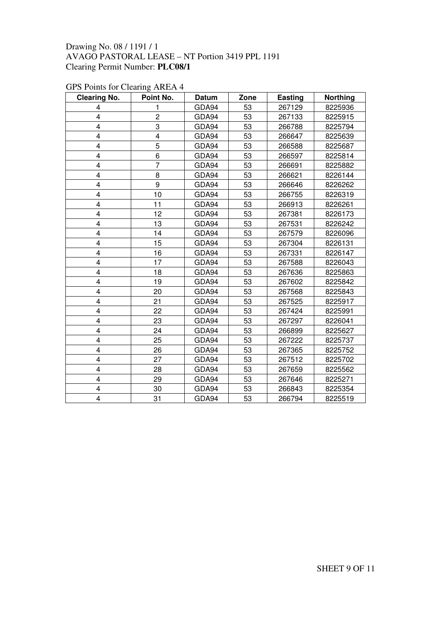| <b>Clearing No.</b>     | Point No.               | <b>Datum</b> | Zone | <b>Easting</b> | <b>Northing</b> |
|-------------------------|-------------------------|--------------|------|----------------|-----------------|
| 4                       | 1                       | GDA94        | 53   | 267129         | 8225936         |
| 4                       | $\overline{c}$          | GDA94        | 53   | 267133         | 8225915         |
| 4                       | 3                       | GDA94        | 53   | 266788         | 8225794         |
| $\overline{\mathbf{4}}$ | $\overline{\mathbf{4}}$ | GDA94        | 53   | 266647         | 8225639         |
| 4                       | 5                       | GDA94        | 53   | 266588         | 8225687         |
| 4                       | 6                       | GDA94        | 53   | 266597         | 8225814         |
| 4                       | $\overline{7}$          | GDA94        | 53   | 266691         | 8225882         |
| $\overline{\mathbf{4}}$ | 8                       | GDA94        | 53   | 266621         | 8226144         |
| 4                       | 9                       | GDA94        | 53   | 266646         | 8226262         |
| 4                       | 10                      | GDA94        | 53   | 266755         | 8226319         |
| 4                       | 11                      | GDA94        | 53   | 266913         | 8226261         |
| 4                       | 12                      | GDA94        | 53   | 267381         | 8226173         |
| 4                       | 13                      | GDA94        | 53   | 267531         | 8226242         |
| 4                       | 14                      | GDA94        | 53   | 267579         | 8226096         |
| 4                       | 15                      | GDA94        | 53   | 267304         | 8226131         |
| $\overline{\mathbf{4}}$ | 16                      | GDA94        | 53   | 267331         | 8226147         |
| 4                       | 17                      | GDA94        | 53   | 267588         | 8226043         |
| 4                       | 18                      | GDA94        | 53   | 267636         | 8225863         |
| 4                       | 19                      | GDA94        | 53   | 267602         | 8225842         |
| 4                       | 20                      | GDA94        | 53   | 267568         | 8225843         |
| 4                       | 21                      | GDA94        | 53   | 267525         | 8225917         |
| $\overline{\mathbf{4}}$ | 22                      | GDA94        | 53   | 267424         | 8225991         |
| 4                       | 23                      | GDA94        | 53   | 267297         | 8226041         |
| 4                       | 24                      | GDA94        | 53   | 266899         | 8225627         |
| 4                       | 25                      | GDA94        | 53   | 267222         | 8225737         |
| $\overline{\mathbf{4}}$ | 26                      | GDA94        | 53   | 267365         | 8225752         |
| 4                       | 27                      | GDA94        | 53   | 267512         | 8225702         |
| 4                       | 28                      | GDA94        | 53   | 267659         | 8225562         |
| 4                       | 29                      | GDA94        | 53   | 267646         | 8225271         |
| 4                       | 30                      | GDA94        | 53   | 266843         | 8225354         |
| 4                       | 31                      | GDA94        | 53   | 266794         | 8225519         |

## GPS Points for Clearing AREA 4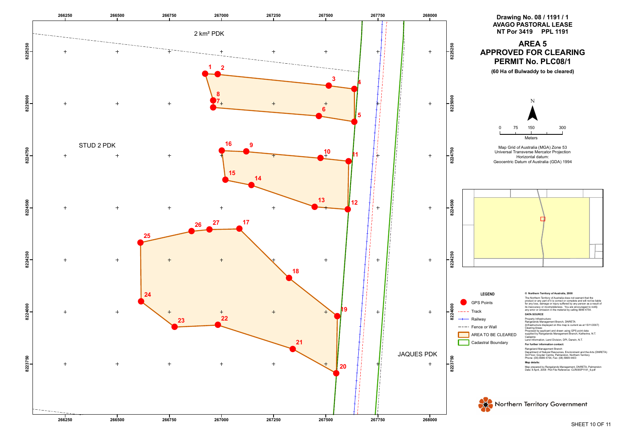



- 
- 
-